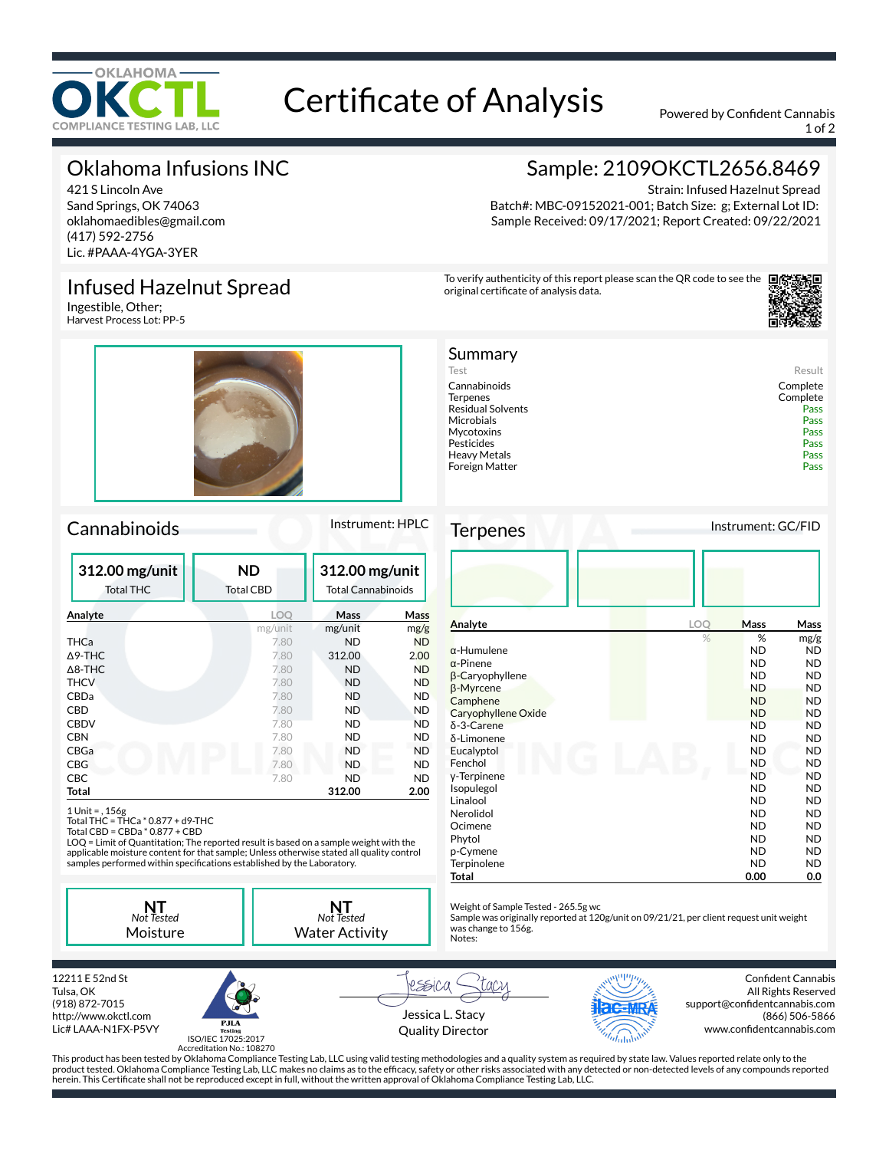

# Certificate of Analysis Powered by Confident Cannabis

1 of 2

# Oklahoma Infusions INC

421 S Lincoln Ave Sand Springs, OK 74063 oklahomaedibles@gmail.com (417) 592-2756 Lic. #PAAA-4YGA-3YER

### Infused Hazelnut Spread

Ingestible, Other; Harvest Process Lot: PP-5



### Cannabinoids Instrument: HPLC

| 312.00 mg/unit<br><b>Total THC</b> | <b>ND</b><br><b>Total CBD</b> | 312.00 mg/unit<br><b>Total Cannabinoids</b> |             |
|------------------------------------|-------------------------------|---------------------------------------------|-------------|
| Analyte                            | <b>LOO</b>                    | Mass                                        | <b>Mass</b> |
|                                    | mg/unit                       | mg/unit                                     | mg/g        |
| THCa                               | 7.80                          | <b>ND</b>                                   | <b>ND</b>   |
| $\Delta$ 9-THC                     | 7.80                          | 312.00                                      | 2.00        |
| $\triangle$ 8-THC                  | 7.80                          | <b>ND</b>                                   | <b>ND</b>   |
| <b>THCV</b>                        | 7.80                          | <b>ND</b>                                   | <b>ND</b>   |
| CBDa                               | 7.80                          | <b>ND</b>                                   | <b>ND</b>   |
| CBD                                | 7.80                          | <b>ND</b>                                   | <b>ND</b>   |
| <b>CBDV</b>                        | 7.80                          | ND                                          | <b>ND</b>   |
| <b>CBN</b>                         | 7.80                          | ND                                          | <b>ND</b>   |
| CBGa                               | 7.80                          | <b>ND</b>                                   | <b>ND</b>   |
| CBG                                | 7.80                          | <b>ND</b>                                   | <b>ND</b>   |
| <b>CBC</b>                         | 7.80                          | ND                                          | <b>ND</b>   |
| Total                              |                               | 312.00                                      | 2.00        |

1 Unit = , 156g Total THC = THCa \* 0.877 + d9-THC Total CBD = CBDa \* 0.877 + CBD

LOQ = Limit of Quantitation; The reported result is based on a sample weight with the applicable moisture content for that sample; Unless otherwise stated all quality control<br>samples performed within specifications established by the Laboratory.

**NT** *Not Tested* Moisture

**NT** *Not Tested* Water Activity

## Sample: 2109OKCTL2656.8469

Strain: Infused Hazelnut Spread Batch#: MBC-09152021-001; Batch Size: g; External Lot ID: Sample Received: 09/17/2021; Report Created: 09/22/2021

To verify authenticity of this report please scan the QR code to see the original certificate of analysis data.



| Summary                  |          |
|--------------------------|----------|
| Test                     | Result   |
| Cannabinoids             | Complete |
| <b>Terpenes</b>          | Complete |
| <b>Residual Solvents</b> | Pass     |
| Microbials               | Pass     |
| Mycotoxins               | Pass     |
| Pesticides               | Pass     |
| Heavy Metals             | Pass     |
| Foreign Matter           | Pass     |
|                          |          |

Terpenes Instrument: GC/FID

| Analyte                | LOQ | Mass      | Mass      |
|------------------------|-----|-----------|-----------|
|                        | %   | %         | mg/g      |
| $\alpha$ -Humulene     |     | <b>ND</b> | <b>ND</b> |
| $\alpha$ -Pinene       |     | <b>ND</b> | <b>ND</b> |
| $\beta$ -Caryophyllene |     | <b>ND</b> | <b>ND</b> |
| β-Myrcene              |     | <b>ND</b> | <b>ND</b> |
| Camphene               |     | <b>ND</b> | <b>ND</b> |
| Caryophyllene Oxide    |     | <b>ND</b> | <b>ND</b> |
| δ-3-Carene             |     | <b>ND</b> | <b>ND</b> |
| δ-Limonene             |     | <b>ND</b> | <b>ND</b> |
| Eucalyptol             |     | <b>ND</b> | <b>ND</b> |
| Fenchol                |     | ND        | <b>ND</b> |
| y-Terpinene            |     | <b>ND</b> | <b>ND</b> |
| Isopulegol             |     | <b>ND</b> | <b>ND</b> |
| Linalool               |     | <b>ND</b> | <b>ND</b> |
| Nerolidol              |     | <b>ND</b> | <b>ND</b> |
| Ocimene                |     | <b>ND</b> | <b>ND</b> |
| Phytol                 |     | <b>ND</b> | <b>ND</b> |
| p-Cymene               |     | <b>ND</b> | <b>ND</b> |
| Terpinolene            |     | <b>ND</b> | <b>ND</b> |
| Total                  |     | 0.00      | 0.0       |

Weight of Sample Tested - 265.5g wc

Sample was originally reported at 120g/unit on 09/21/21, per client request unit weight was change to 156g. Notes:

12211 E 52nd St Tulsa, OK (918) 872-7015 http://www.okctl.com Lic# LAAA-N1FX-P5VY



Jessica L. Stacy Quality Director

rssica



Confident Cannabis All Rights Reserved support@confidentcannabis.com (866) 506-5866 www.confidentcannabis.com

ISO/IEC 17025:2017 Accreditation No.: 108270

This product has been tested by Oklahoma Compliance Testing Lab, LLC using valid testing methodologies and a quality system as required by state law. Values reported relate only to the product tested. Oklahoma Compliance Testing Lab, LLC makes no claims as to the efficacy, safety or other risks associated with any detected or non-detected levels of any compounds reported herein. This Certificate shall not be reproduced except in full, without the written approval of Oklahoma Compliance Testing Lab, LLC.